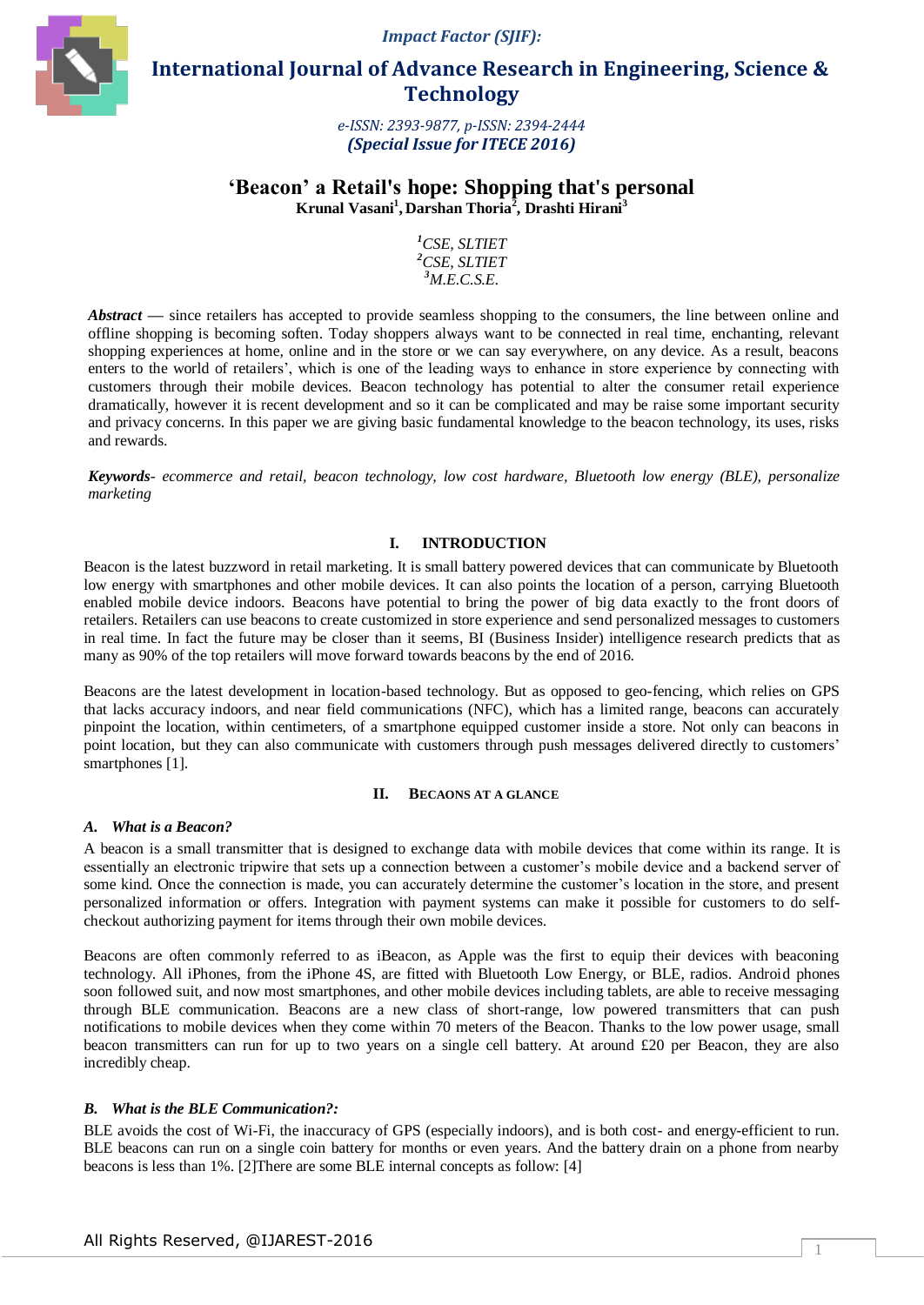*Impact Factor (SJIF):* 



 **International Journal of Advance Research in Engineering, Science & Technology** 

> *e-ISSN: 2393-9877, p-ISSN: 2394-2444 (Special Issue for ITECE 2016)*

# **'Beacon' a Retail's hope: Shopping that's personal Krunal Vasani<sup>1</sup> , Darshan Thoria<sup>2</sup> , Drashti Hirani<sup>3</sup>**

*<sup>1</sup>CSE, SLTIET <sup>2</sup>CSE, SLTIET <sup>3</sup>M.E.C.S.E.*

*Abstract* — since retailers has accepted to provide seamless shopping to the consumers, the line between online and offline shopping is becoming soften. Today shoppers always want to be connected in real time, enchanting, relevant shopping experiences at home, online and in the store or we can say everywhere, on any device. As a result, beacons enters to the world of retailers", which is one of the leading ways to enhance in store experience by connecting with customers through their mobile devices. Beacon technology has potential to alter the consumer retail experience dramatically, however it is recent development and so it can be complicated and may be raise some important security and privacy concerns. In this paper we are giving basic fundamental knowledge to the beacon technology, its uses, risks and rewards.

*Keywords- ecommerce and retail, beacon technology, low cost hardware, Bluetooth low energy (BLE), personalize marketing*

## **I. INTRODUCTION**

Beacon is the latest buzzword in retail marketing. It is small battery powered devices that can communicate by Bluetooth low energy with smartphones and other mobile devices. It can also points the location of a person, carrying Bluetooth enabled mobile device indoors. Beacons have potential to bring the power of big data exactly to the front doors of retailers. Retailers can use beacons to create customized in store experience and send personalized messages to customers in real time. In fact the future may be closer than it seems, BI (Business Insider) intelligence research predicts that as many as 90% of the top retailers will move forward towards beacons by the end of 2016.

Beacons are the latest development in location-based technology. But as opposed to geo-fencing, which relies on GPS that lacks accuracy indoors, and near field communications (NFC), which has a limited range, beacons can accurately pinpoint the location, within centimeters, of a smartphone equipped customer inside a store. Not only can beacons in point location, but they can also communicate with customers through push messages delivered directly to customers' smartphones [1].

#### **II. BECAONS AT A GLANCE**

#### *A. What is a Beacon?*

A beacon is a small transmitter that is designed to exchange data with mobile devices that come within its range. It is essentially an electronic tripwire that sets up a connection between a customer"s mobile device and a backend server of some kind. Once the connection is made, you can accurately determine the customer"s location in the store, and present personalized information or offers. Integration with payment systems can make it possible for customers to do selfcheckout authorizing payment for items through their own mobile devices.

Beacons are often commonly referred to as iBeacon, as Apple was the first to equip their devices with beaconing technology. All iPhones, from the iPhone 4S, are fitted with Bluetooth Low Energy, or BLE, radios. Android phones soon followed suit, and now most smartphones, and other mobile devices including tablets, are able to receive messaging through BLE communication. Beacons are a new class of short-range, low powered transmitters that can push notifications to mobile devices when they come within 70 meters of the Beacon. Thanks to the low power usage, small beacon transmitters can run for up to two years on a single cell battery. At around £20 per Beacon, they are also incredibly cheap.

### *B. What is the BLE Communication?:*

BLE avoids the cost of Wi-Fi, the inaccuracy of GPS (especially indoors), and is both cost- and energy-efficient to run. BLE beacons can run on a single coin battery for months or even years. And the battery drain on a phone from nearby beacons is less than 1%. [2]There are some BLE internal concepts as follow: [4]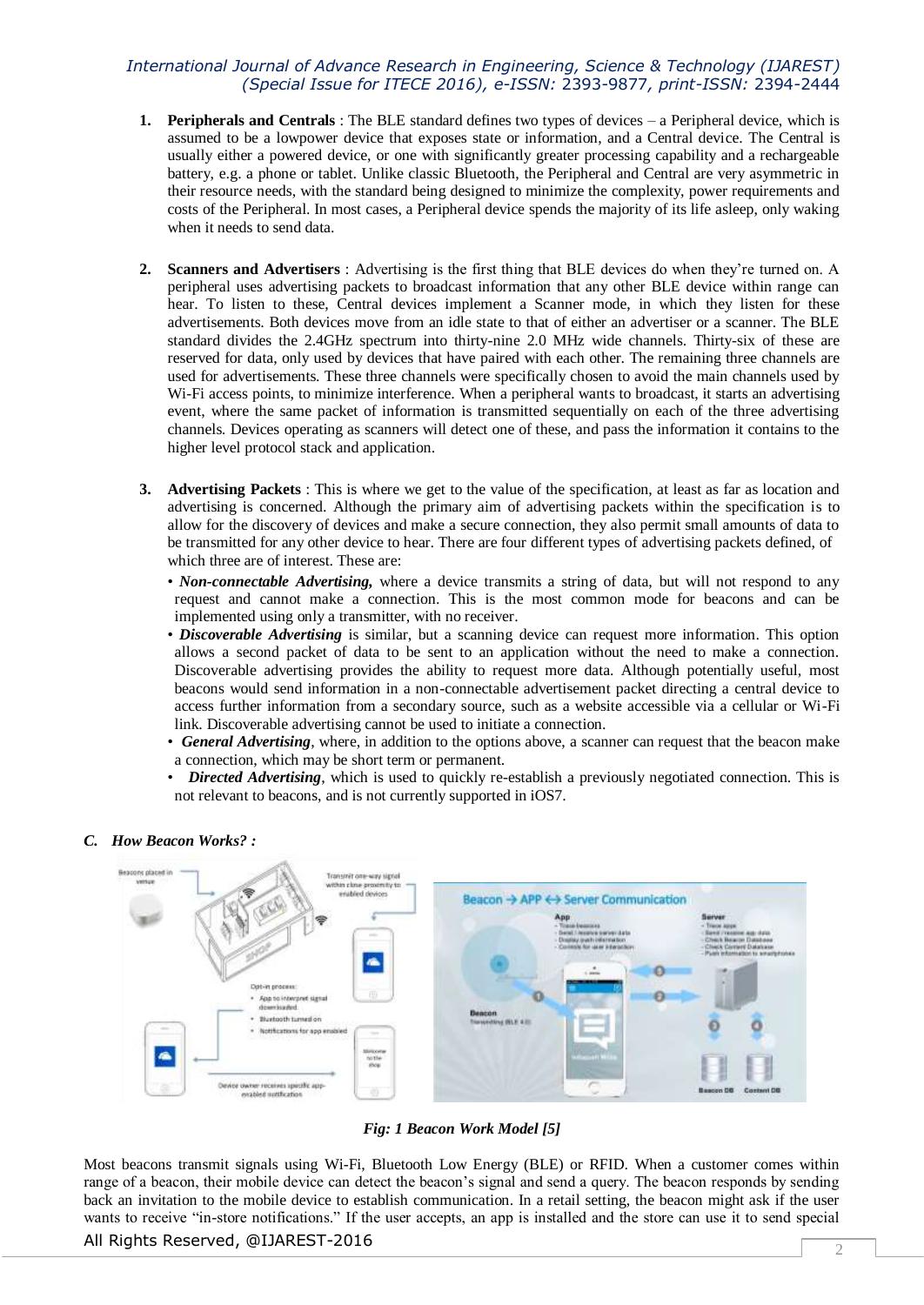- **1. Peripherals and Centrals** : The BLE standard defines two types of devices a Peripheral device, which is assumed to be a lowpower device that exposes state or information, and a Central device. The Central is usually either a powered device, or one with significantly greater processing capability and a rechargeable battery, e.g. a phone or tablet. Unlike classic Bluetooth, the Peripheral and Central are very asymmetric in their resource needs, with the standard being designed to minimize the complexity, power requirements and costs of the Peripheral. In most cases, a Peripheral device spends the majority of its life asleep, only waking when it needs to send data.
- **2. Scanners and Advertisers** : Advertising is the first thing that BLE devices do when they"re turned on. A peripheral uses advertising packets to broadcast information that any other BLE device within range can hear. To listen to these, Central devices implement a Scanner mode, in which they listen for these advertisements. Both devices move from an idle state to that of either an advertiser or a scanner. The BLE standard divides the 2.4GHz spectrum into thirty-nine 2.0 MHz wide channels. Thirty-six of these are reserved for data, only used by devices that have paired with each other. The remaining three channels are used for advertisements. These three channels were specifically chosen to avoid the main channels used by Wi-Fi access points, to minimize interference. When a peripheral wants to broadcast, it starts an advertising event, where the same packet of information is transmitted sequentially on each of the three advertising channels. Devices operating as scanners will detect one of these, and pass the information it contains to the higher level protocol stack and application.
- **3. Advertising Packets** : This is where we get to the value of the specification, at least as far as location and advertising is concerned. Although the primary aim of advertising packets within the specification is to allow for the discovery of devices and make a secure connection, they also permit small amounts of data to be transmitted for any other device to hear. There are four different types of advertising packets defined, of which three are of interest. These are:
	- *Non-connectable Advertising,* where a device transmits a string of data, but will not respond to any request and cannot make a connection. This is the most common mode for beacons and can be implemented using only a transmitter, with no receiver.
	- *Discoverable Advertising* is similar, but a scanning device can request more information. This option allows a second packet of data to be sent to an application without the need to make a connection. Discoverable advertising provides the ability to request more data. Although potentially useful, most beacons would send information in a non-connectable advertisement packet directing a central device to access further information from a secondary source, such as a website accessible via a cellular or Wi-Fi link. Discoverable advertising cannot be used to initiate a connection.
	- *General Advertising*, where, in addition to the options above, a scanner can request that the beacon make a connection, which may be short term or permanent.
	- *Directed Advertising*, which is used to quickly re-establish a previously negotiated connection. This is not relevant to beacons, and is not currently supported in iOS7.



### *C. How Beacon Works? :*

*Fig: 1 Beacon Work Model [5]*

All Rights Reserved, @IJAREST-2016 2 Most beacons transmit signals using Wi-Fi, Bluetooth Low Energy (BLE) or RFID. When a customer comes within range of a beacon, their mobile device can detect the beacon's signal and send a query. The beacon responds by sending back an invitation to the mobile device to establish communication. In a retail setting, the beacon might ask if the user wants to receive "in-store notifications." If the user accepts, an app is installed and the store can use it to send special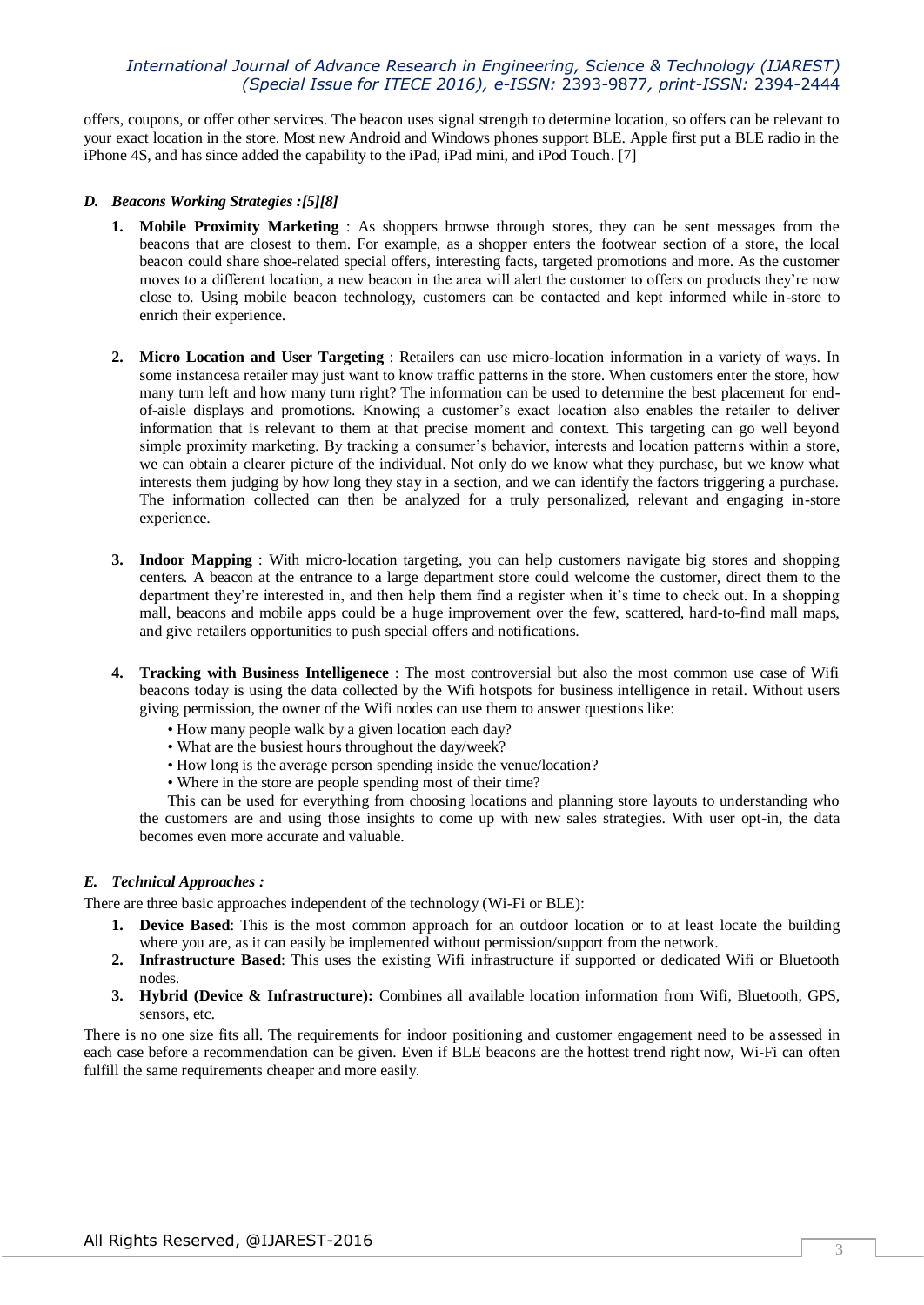offers, coupons, or offer other services. The beacon uses signal strength to determine location, so offers can be relevant to your exact location in the store. Most new Android and Windows phones support BLE. Apple first put a BLE radio in the iPhone 4S, and has since added the capability to the iPad, iPad mini, and iPod Touch. [7]

### *D. Beacons Working Strategies :[5][8]*

- **1. Mobile Proximity Marketing** : As shoppers browse through stores, they can be sent messages from the beacons that are closest to them. For example, as a shopper enters the footwear section of a store, the local beacon could share shoe-related special offers, interesting facts, targeted promotions and more. As the customer moves to a different location, a new beacon in the area will alert the customer to offers on products they"re now close to. Using mobile beacon technology, customers can be contacted and kept informed while in-store to enrich their experience.
- **2. Micro Location and User Targeting** : Retailers can use micro-location information in a variety of ways. In some instancesa retailer may just want to know traffic patterns in the store. When customers enter the store, how many turn left and how many turn right? The information can be used to determine the best placement for endof-aisle displays and promotions. Knowing a customer"s exact location also enables the retailer to deliver information that is relevant to them at that precise moment and context. This targeting can go well beyond simple proximity marketing. By tracking a consumer's behavior, interests and location patterns within a store, we can obtain a clearer picture of the individual. Not only do we know what they purchase, but we know what interests them judging by how long they stay in a section, and we can identify the factors triggering a purchase. The information collected can then be analyzed for a truly personalized, relevant and engaging in-store experience.
- **3. Indoor Mapping** : With micro-location targeting, you can help customers navigate big stores and shopping centers. A beacon at the entrance to a large department store could welcome the customer, direct them to the department they"re interested in, and then help them find a register when it"s time to check out. In a shopping mall, beacons and mobile apps could be a huge improvement over the few, scattered, hard-to-find mall maps, and give retailers opportunities to push special offers and notifications.
- **4. Tracking with Business Intelligenece** : The most controversial but also the most common use case of Wifi beacons today is using the data collected by the Wifi hotspots for business intelligence in retail. Without users giving permission, the owner of the Wifi nodes can use them to answer questions like:
	- How many people walk by a given location each day?
	- What are the busiest hours throughout the day/week?
	- How long is the average person spending inside the venue/location?
	- Where in the store are people spending most of their time?

This can be used for everything from choosing locations and planning store layouts to understanding who the customers are and using those insights to come up with new sales strategies. With user opt-in, the data becomes even more accurate and valuable.

### *E. Technical Approaches :*

There are three basic approaches independent of the technology (Wi-Fi or BLE):

- **1. Device Based**: This is the most common approach for an outdoor location or to at least locate the building where you are, as it can easily be implemented without permission/support from the network.
- **2. Infrastructure Based**: This uses the existing Wifi infrastructure if supported or dedicated Wifi or Bluetooth nodes.
- **3. Hybrid (Device & Infrastructure):** Combines all available location information from Wifi, Bluetooth, GPS, sensors, etc.

There is no one size fits all. The requirements for indoor positioning and customer engagement need to be assessed in each case before a recommendation can be given. Even if BLE beacons are the hottest trend right now, Wi-Fi can often fulfill the same requirements cheaper and more easily.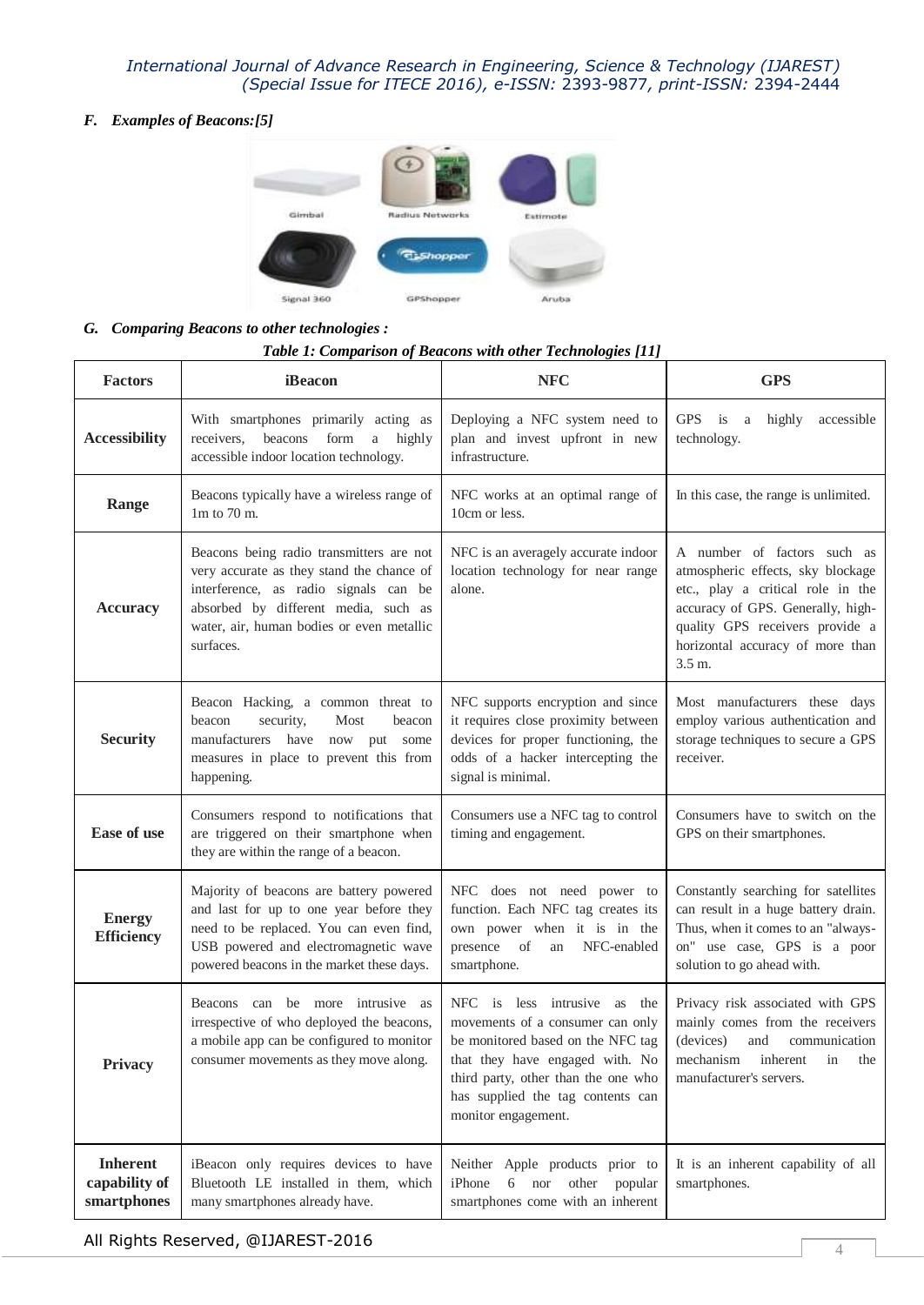*F. Examples of Beacons:[5]*



### *G. Comparing Beacons to other technologies :*

### *Table 1: Comparison of Beacons with other Technologies [11]*

| <b>Factors</b>                                  | iBeacon                                                                                                                                                                                                                          | <b>NFC</b>                                                                                                                                                                                                                                  | <b>GPS</b>                                                                                                                                                                                                                  |
|-------------------------------------------------|----------------------------------------------------------------------------------------------------------------------------------------------------------------------------------------------------------------------------------|---------------------------------------------------------------------------------------------------------------------------------------------------------------------------------------------------------------------------------------------|-----------------------------------------------------------------------------------------------------------------------------------------------------------------------------------------------------------------------------|
| <b>Accessibility</b>                            | With smartphones primarily acting as<br>beacons form<br>receivers,<br>$\rm{a}$<br>highly<br>accessible indoor location technology.                                                                                               | Deploying a NFC system need to<br>plan and invest upfront in new<br>infrastructure.                                                                                                                                                         | GPS is<br>highly<br>accessible<br><sub>a</sub><br>technology.                                                                                                                                                               |
| Range                                           | Beacons typically have a wireless range of<br>$1m$ to 70 m.                                                                                                                                                                      | NFC works at an optimal range of<br>10cm or less.                                                                                                                                                                                           | In this case, the range is unlimited.                                                                                                                                                                                       |
| <b>Accuracy</b>                                 | Beacons being radio transmitters are not<br>very accurate as they stand the chance of<br>interference, as radio signals can be<br>absorbed by different media, such as<br>water, air, human bodies or even metallic<br>surfaces. | NFC is an averagely accurate indoor<br>location technology for near range<br>alone.                                                                                                                                                         | A number of factors such as<br>atmospheric effects, sky blockage<br>etc., play a critical role in the<br>accuracy of GPS. Generally, high-<br>quality GPS receivers provide a<br>horizontal accuracy of more than<br>3.5 m. |
| <b>Security</b>                                 | Beacon Hacking, a common threat to<br>beacon<br>security,<br>Most<br>beacon<br>manufacturers have<br>now<br>put some<br>measures in place to prevent this from<br>happening.                                                     | NFC supports encryption and since<br>it requires close proximity between<br>devices for proper functioning, the<br>odds of a hacker intercepting the<br>signal is minimal.                                                                  | Most manufacturers these days<br>employ various authentication and<br>storage techniques to secure a GPS<br>receiver.                                                                                                       |
| <b>Ease of use</b>                              | Consumers respond to notifications that<br>are triggered on their smartphone when<br>they are within the range of a beacon.                                                                                                      | Consumers use a NFC tag to control<br>timing and engagement.                                                                                                                                                                                | Consumers have to switch on the<br>GPS on their smartphones.                                                                                                                                                                |
| <b>Energy</b><br><b>Efficiency</b>              | Majority of beacons are battery powered<br>and last for up to one year before they<br>need to be replaced. You can even find,<br>USB powered and electromagnetic wave<br>powered beacons in the market these days.               | NFC does not need power to<br>function. Each NFC tag creates its<br>own power when it is in the<br>presence<br><sub>of</sub><br>NFC-enabled<br>an<br>smartphone.                                                                            | Constantly searching for satellites<br>can result in a huge battery drain.<br>Thus, when it comes to an "always-<br>on" use case, GPS is a poor<br>solution to go ahead with.                                               |
| Privacy                                         | Beacons can be more intrusive as<br>irrespective of who deployed the beacons,<br>a mobile app can be configured to monitor<br>consumer movements as they move along.                                                             | NFC is less intrusive as the<br>movements of a consumer can only<br>be monitored based on the NFC tag<br>that they have engaged with. No<br>third party, other than the one who<br>has supplied the tag contents can<br>monitor engagement. | Privacy risk associated with GPS<br>mainly comes from the receivers<br>(devices)<br>and<br>communication<br>mechanism inherent in the<br>manufacturer's servers.                                                            |
| <b>Inherent</b><br>capability of<br>smartphones | iBeacon only requires devices to have<br>Bluetooth LE installed in them, which<br>many smartphones already have.                                                                                                                 | Neither Apple products prior to<br>iPhone<br>6<br>nor<br>other<br>popular<br>smartphones come with an inherent                                                                                                                              | It is an inherent capability of all<br>smartphones.                                                                                                                                                                         |